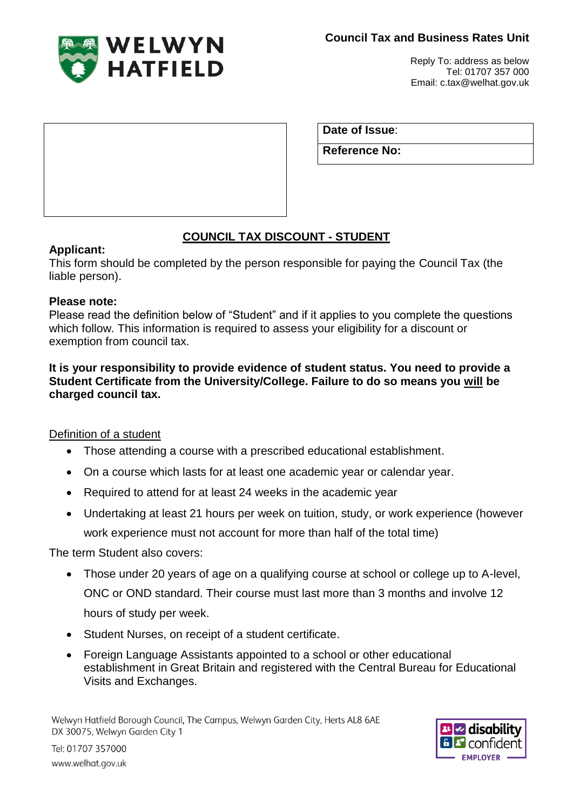

Reply To: address as below Tel: 01707 357 000 Email: c.tax@welhat.gov.uk

**Date of Issue**:

**Reference No:**

# **COUNCIL TAX DISCOUNT - STUDENT**

### **Applicant:**

This form should be completed by the person responsible for paying the Council Tax (the liable person).

### **Please note:**

Please read the definition below of "Student" and if it applies to you complete the questions which follow. This information is required to assess your eligibility for a discount or exemption from council tax.

#### **It is your responsibility to provide evidence of student status. You need to provide a Student Certificate from the University/College. Failure to do so means you will be charged council tax.**

## Definition of a student

- Those attending a course with a prescribed educational establishment.
- On a course which lasts for at least one academic year or calendar year.
- Required to attend for at least 24 weeks in the academic year
- Undertaking at least 21 hours per week on tuition, study, or work experience (however work experience must not account for more than half of the total time)

The term Student also covers:

- Those under 20 years of age on a qualifying course at school or college up to A-level, ONC or OND standard. Their course must last more than 3 months and involve 12 hours of study per week.
- Student Nurses, on receipt of a student certificate.
- Foreign Language Assistants appointed to a school or other educational establishment in Great Britain and registered with the Central Bureau for Educational Visits and Exchanges.